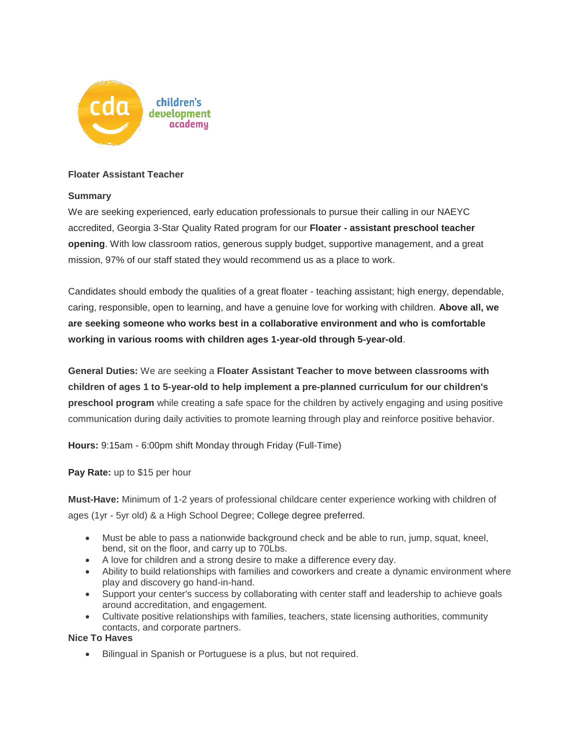

## **Floater Assistant Teacher**

## **Summary**

We are seeking experienced, early education professionals to pursue their calling in our NAEYC accredited, Georgia 3-Star Quality Rated program for our **Floater - assistant preschool teacher opening**. With low classroom ratios, generous supply budget, supportive management, and a great mission, 97% of our staff stated they would recommend us as a place to work.

Candidates should embody the qualities of a great floater - teaching assistant; high energy, dependable, caring, responsible, open to learning, and have a genuine love for working with children. **Above all, we are seeking someone who works best in a collaborative environment and who is comfortable working in various rooms with children ages 1-year-old through 5-year-old**.

**General Duties:** We are seeking a **Floater Assistant Teacher to move between classrooms with children of ages 1 to 5-year-old to help implement a pre-planned curriculum for our children's preschool program** while creating a safe space for the children by actively engaging and using positive communication during daily activities to promote learning through play and reinforce positive behavior.

**Hours:** 9:15am - 6:00pm shift Monday through Friday (Full-Time)

**Pay Rate:** up to \$15 per hour

**Must-Have:** Minimum of 1-2 years of professional childcare center experience working with children of ages (1yr - 5yr old) & a High School Degree; College degree preferred.

- Must be able to pass a nationwide background check and be able to run, jump, squat, kneel, bend, sit on the floor, and carry up to 70Lbs.
- A love for children and a strong desire to make a difference every day.
- Ability to build relationships with families and coworkers and create a dynamic environment where play and discovery go hand-in-hand.
- Support your center's success by collaborating with center staff and leadership to achieve goals around accreditation, and engagement.
- Cultivate positive relationships with families, teachers, state licensing authorities, community contacts, and corporate partners.

**Nice To Haves**

• Bilingual in Spanish or Portuguese is a plus, but not required.